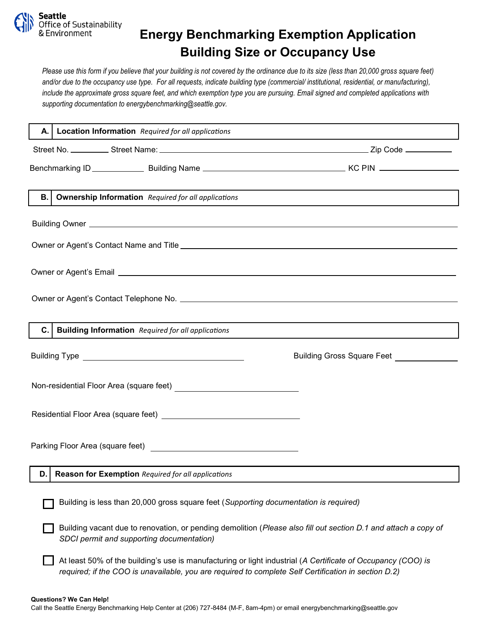

## **Energy Benchmarking Exemption Application Building Size or Occupancy Use**

*Please use this form if you believe that your building is not covered by the ordinance due to its size (less than 20,000 gross square feet) and/or due to the occupancy use type. For all requests, indicate building type (commercial/ institutional, residential, or manufacturing), include the approximate gross square feet, and which exemption type you are pursuing. Email signed and completed applications with supporting documentation to energybenchmarking@seattle.gov.* 

|                                                                                       | A.   Location Information Required for all applications                                                                                                                                                              |                                            |  |
|---------------------------------------------------------------------------------------|----------------------------------------------------------------------------------------------------------------------------------------------------------------------------------------------------------------------|--------------------------------------------|--|
|                                                                                       |                                                                                                                                                                                                                      |                                            |  |
|                                                                                       |                                                                                                                                                                                                                      |                                            |  |
|                                                                                       |                                                                                                                                                                                                                      |                                            |  |
|                                                                                       |                                                                                                                                                                                                                      |                                            |  |
| В.                                                                                    | <b>Ownership Information</b> Required for all applications                                                                                                                                                           |                                            |  |
|                                                                                       |                                                                                                                                                                                                                      |                                            |  |
|                                                                                       |                                                                                                                                                                                                                      |                                            |  |
|                                                                                       |                                                                                                                                                                                                                      |                                            |  |
|                                                                                       |                                                                                                                                                                                                                      |                                            |  |
| C.                                                                                    | <b>Building Information</b> Required for all applications                                                                                                                                                            |                                            |  |
|                                                                                       |                                                                                                                                                                                                                      | Building Gross Square Feet _______________ |  |
|                                                                                       |                                                                                                                                                                                                                      |                                            |  |
| Residential Floor Area (square feet)<br><u>Laten Line Line Line Line Line Line</u>    |                                                                                                                                                                                                                      |                                            |  |
|                                                                                       |                                                                                                                                                                                                                      |                                            |  |
| D.I                                                                                   | Reason for Exemption Required for all applications                                                                                                                                                                   |                                            |  |
| Building is less than 20,000 gross square feet (Supporting documentation is required) |                                                                                                                                                                                                                      |                                            |  |
|                                                                                       | Building vacant due to renovation, or pending demolition (Please also fill out section D.1 and attach a copy of<br>SDCI permit and supporting documentation)                                                         |                                            |  |
|                                                                                       | At least 50% of the building's use is manufacturing or light industrial (A Certificate of Occupancy (COO) is<br>required; if the COO is unavailable, you are required to complete Self Certification in section D.2) |                                            |  |

## **Questions? We Can Help!**

Call the Seattle Energy Benchmarking Help Center at (206) 727-8484 (M-F, 8am-4pm) or email energybenchmarking@seattle.gov